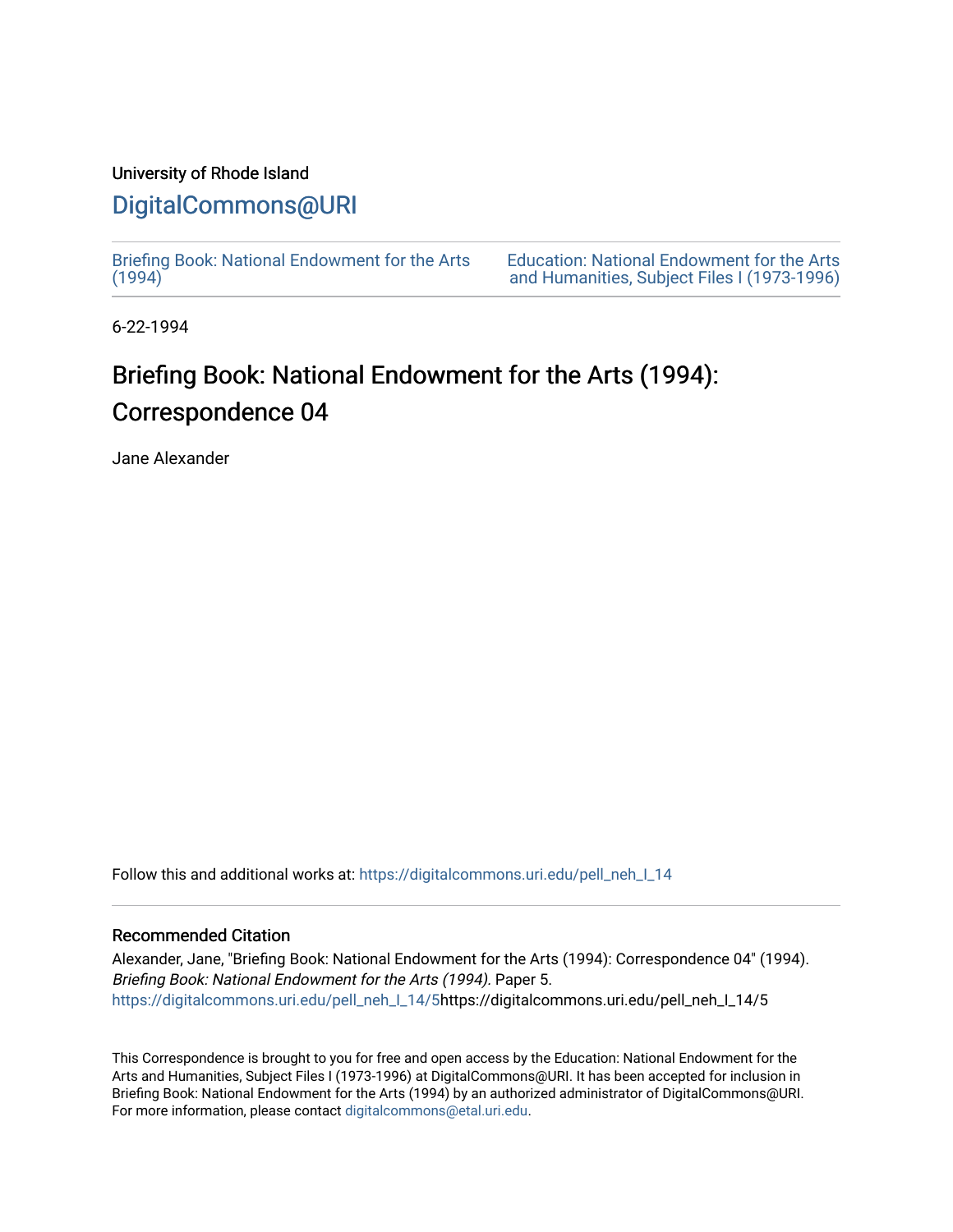## University of Rhode Island

## [DigitalCommons@URI](https://digitalcommons.uri.edu/)

[Briefing Book: National Endowment for the Arts](https://digitalcommons.uri.edu/pell_neh_I_14)  $(1994)$ 

[Education: National Endowment for the Arts](https://digitalcommons.uri.edu/pell_neh_I)  [and Humanities, Subject Files I \(1973-1996\)](https://digitalcommons.uri.edu/pell_neh_I) 

6-22-1994

## Briefing Book: National Endowment for the Arts (1994): Correspondence 04

Jane Alexander

Follow this and additional works at: [https://digitalcommons.uri.edu/pell\\_neh\\_I\\_14](https://digitalcommons.uri.edu/pell_neh_I_14?utm_source=digitalcommons.uri.edu%2Fpell_neh_I_14%2F5&utm_medium=PDF&utm_campaign=PDFCoverPages) 

## Recommended Citation

Alexander, Jane, "Briefing Book: National Endowment for the Arts (1994): Correspondence 04" (1994). Briefing Book: National Endowment for the Arts (1994). Paper 5. [https://digitalcommons.uri.edu/pell\\_neh\\_I\\_14/5h](https://digitalcommons.uri.edu/pell_neh_I_14/5?utm_source=digitalcommons.uri.edu%2Fpell_neh_I_14%2F5&utm_medium=PDF&utm_campaign=PDFCoverPages)ttps://digitalcommons.uri.edu/pell\_neh\_I\_14/5

This Correspondence is brought to you for free and open access by the Education: National Endowment for the Arts and Humanities, Subject Files I (1973-1996) at DigitalCommons@URI. It has been accepted for inclusion in Briefing Book: National Endowment for the Arts (1994) by an authorized administrator of DigitalCommons@URI. For more information, please contact [digitalcommons@etal.uri.edu](mailto:digitalcommons@etal.uri.edu).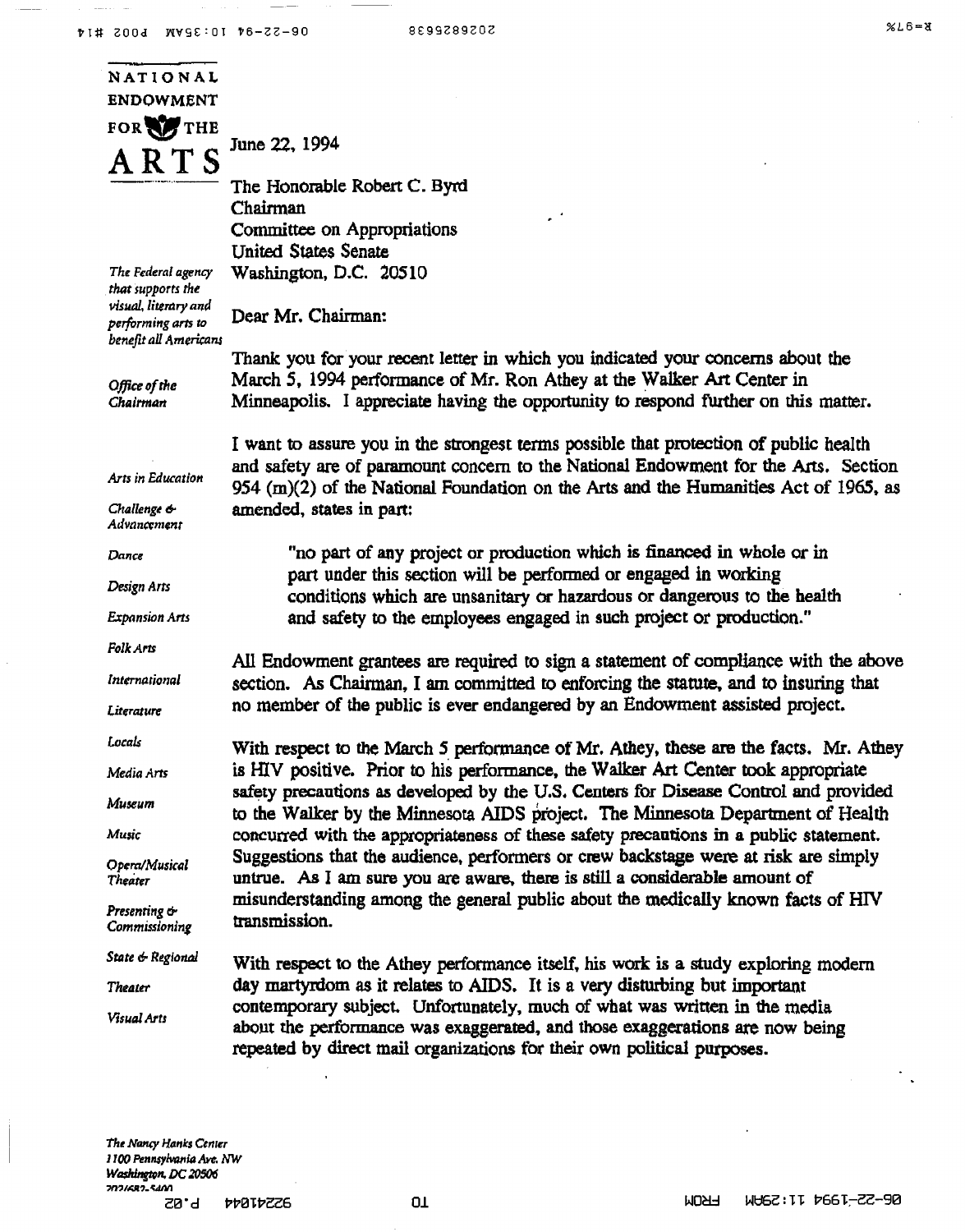$\sim$   $-$ 

| NATIONAL                                                            |                                                                                                                                                                                                                                       |
|---------------------------------------------------------------------|---------------------------------------------------------------------------------------------------------------------------------------------------------------------------------------------------------------------------------------|
| <b>ENDOWMENT</b>                                                    |                                                                                                                                                                                                                                       |
| FOR THE                                                             |                                                                                                                                                                                                                                       |
| A R T S                                                             | June 22, 1994                                                                                                                                                                                                                         |
|                                                                     | The Honorable Robert C. Byrd                                                                                                                                                                                                          |
|                                                                     | Chairman                                                                                                                                                                                                                              |
|                                                                     | Committee on Appropriations<br><b>United States Senate</b>                                                                                                                                                                            |
| The Federal agency                                                  | Washington, D.C. 20510                                                                                                                                                                                                                |
| that supports the                                                   |                                                                                                                                                                                                                                       |
| visual, literary and<br>performing arts to<br>benefit all Americans | Dear Mr. Chairman:                                                                                                                                                                                                                    |
|                                                                     | Thank you for your recent letter in which you indicated your concerns about the                                                                                                                                                       |
| Office of the                                                       | March 5, 1994 performance of Mr. Ron Athey at the Walker Art Center in                                                                                                                                                                |
| Chairman                                                            | Minneapolis. I appreciate having the opportunity to respond further on this matter.                                                                                                                                                   |
|                                                                     | I want to assure you in the strongest terms possible that protection of public health                                                                                                                                                 |
| Arts in Education                                                   | and safety are of paramount concern to the National Endowment for the Arts. Section<br>954 (m)(2) of the National Foundation on the Arts and the Humanities Act of 1965, as                                                           |
| Challenge &<br>Advancement                                          | amended, states in part:                                                                                                                                                                                                              |
| Далсе                                                               | "no part of any project or production which is financed in whole or in                                                                                                                                                                |
| Design Arts                                                         | part under this section will be performed or engaged in working                                                                                                                                                                       |
| <b>Expansion Arts</b>                                               | conditions which are unsanitary or hazardous or dangerous to the health<br>and safety to the employees engaged in such project or production."                                                                                        |
| <b>Folk Arts</b>                                                    |                                                                                                                                                                                                                                       |
|                                                                     | All Endowment grantees are required to sign a statement of compliance with the above                                                                                                                                                  |
| International                                                       | section. As Chairman, I am committed to enforcing the statute, and to insuring that                                                                                                                                                   |
| Literature                                                          | no member of the public is ever endangered by an Endowment assisted project.                                                                                                                                                          |
| Locals                                                              | With respect to the March 5 performance of Mr. Athey, these are the facts. Mr. Athey                                                                                                                                                  |
| Media Arts                                                          | is HIV positive. Prior to his performance, the Walker Art Center took appropriate                                                                                                                                                     |
| Museum                                                              | safety precautions as developed by the U.S. Centers for Disease Control and provided<br>to the Walker by the Minnesota AIDS project. The Minnesota Department of Health                                                               |
| Music                                                               | concurred with the appropriateness of these safety precautions in a public statement.                                                                                                                                                 |
| Opera/Musical<br>Theater                                            | Suggestions that the audience, performers or crew backstage were at risk are simply<br>untrue. As I am sure you are aware, there is still a considerable amount of                                                                    |
| Presenting &<br>Commissioning                                       | misunderstanding among the general public about the medically known facts of HIV<br>transmission.                                                                                                                                     |
| State & Regional                                                    | With respect to the Athey performance itself, his work is a study exploring modern                                                                                                                                                    |
| Theater                                                             | day martyrdom as it relates to AIDS. It is a very disturbing but important                                                                                                                                                            |
| Visual Arts                                                         | contemporary subject. Unfortunately, much of what was written in the media<br>about the performance was exaggerated, and those exaggerations are now being<br>repeated by direct mail organizations for their own political purposes. |
|                                                                     |                                                                                                                                                                                                                                       |

 $\ddot{\phantom{a}}$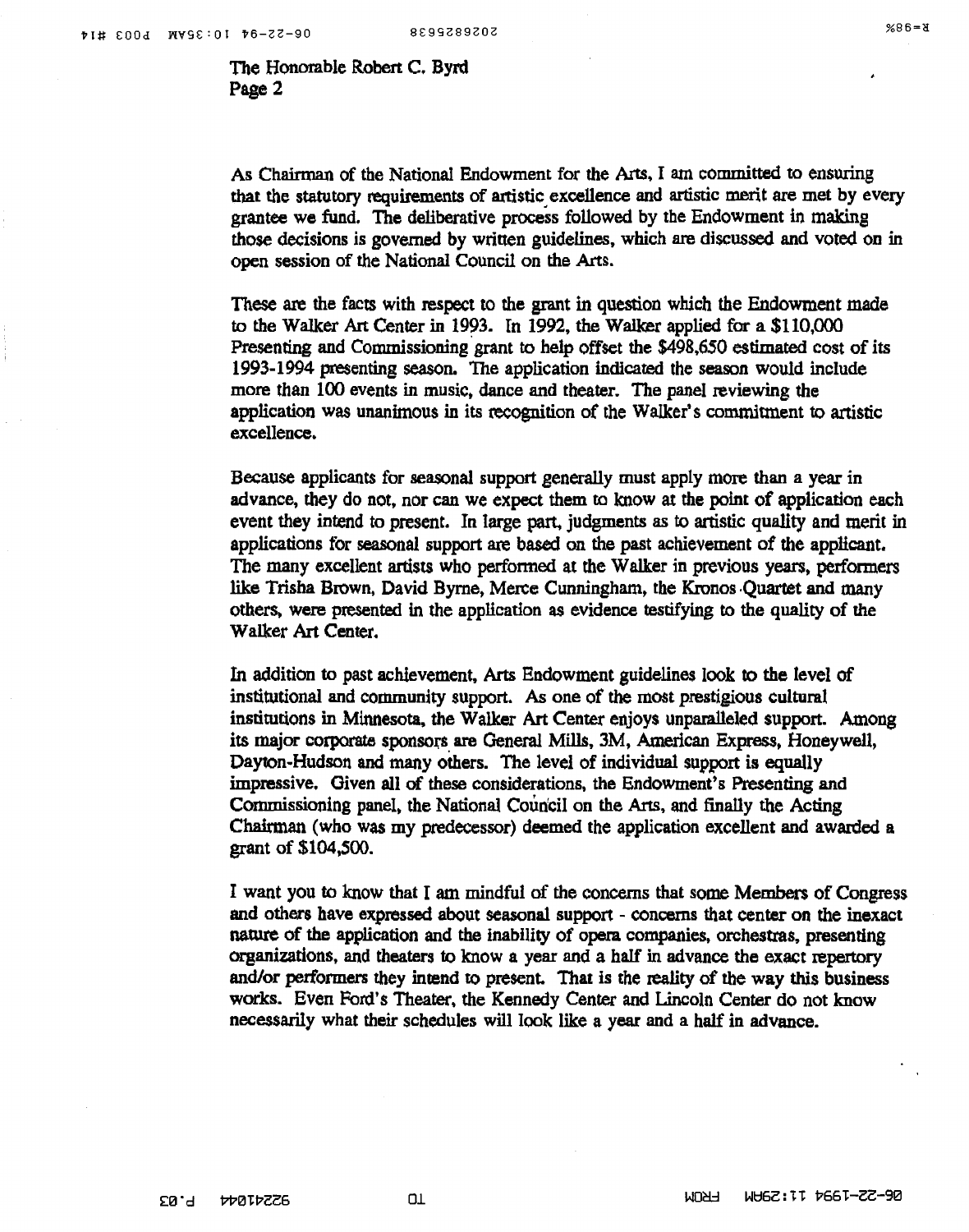$X = 88$ 

The Honorable Robert C. Byrd Page 2

As Chairman of the National Endowment for the *Arts,* I am committed to ensuring that the statutory requirements of artistic excellence and artistic merit are met by every grantee we fund. The deliberative process followed by the Endowment in making those decisions is governed by written guidelines, which are discussed and voted on in open session of the National Council on the Arts.

These are the facts with respect to the grant in question which the Endowment made to the Walker Art Center in 1993. In 1992, the Walker applied for a \$110,000 Presenting and Commissioning grant to help offset the \$498,650 estimated cost of its 1993-1994 presenting season. The application indicated the season would include more than 100 events in music. dance and theater. The panel reviewing the application was unanimous in its recognition of the Walker's commitment to artistic excellence.

Because applicants for seasonal support generally must apply more than a year in advance, they do not, nor can we expect them to know at the point of application each event they intend to present. In large part, judgments as to artistic quality and merit in applications tor seasonal support are based on the past achievement of the applicant. The many excellent artists who performed at the Walker in previous years, performers like Trisha Brown, David Byrne, Merce Cunningham, the Kronos Quartet and many others. were presented in the application as evidence testifying to the quality of the Walker Art Center.

In addition to past achievement, Arts Endowment guidelines look to the level of institutional and community support. As one of the most prestigious cultural institutions in Minnesota, the Walker Art Center enjoys unparalleled support. Among its major corporate sponsors are General Mills, 3M, American Express, Honeywell, Dayton-Hudson and many others. The level of individual support is equally impressive. Given all of these considerations, the Endowment's Presenting and Commissioning panel, the National Council on the Arts, and finally the Acting Chairman (who was my predecessor) deemed the application excellent and awarded a grant of \$104,SOO.

I want you to know that I am mindful of the concerns that some Members of Congress and others have expressed about seasonal support - concerns that center on the inexact nature of the application and the inability of opera companies, orchestras, presenting organizations, and theaters to know a year and a half in advance the exact repertory and/or performers they intend to present. That is the reality of the way this business works. Even Ford's Theater, the Kennedy Center and Lincoln Center do not know necessarily what their schedules will look like a year and a half in advance.